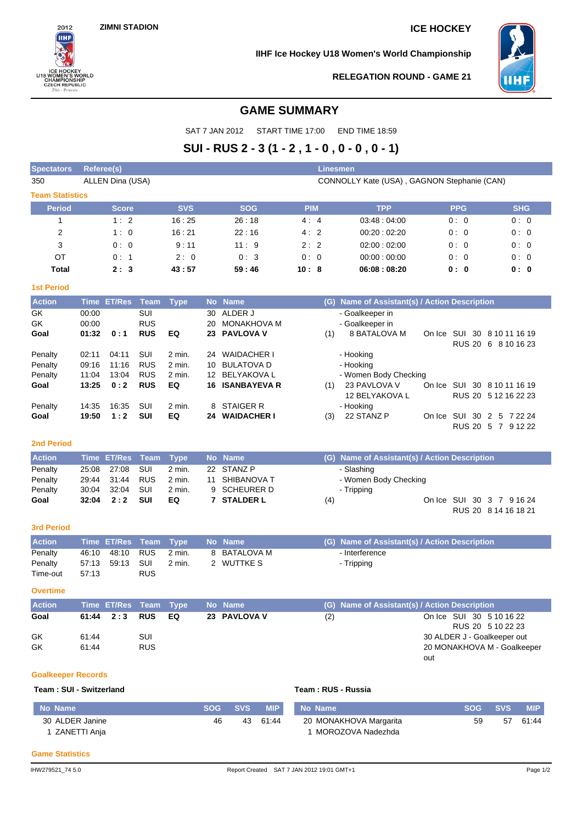$2012$ πн

ICE HOCKEY<br>U18 WOMEN'S WORI<br>CHAMPIONSHIP<br>CZECH REPUBLIC<br>Zlin - Prerov

ORLD

**IIHF Ice Hockey U18 Women's World Championship**



**RELEGATION ROUND - GAME 21**

# **GAME SUMMARY**

SAT 7 JAN 2012 START TIME 17:00 END TIME 18:59

# **SUI - RUS 2 - 3 (1 - 2 , 1 - 0 , 0 - 0 , 0 - 1)**

| <b>Spectators</b>      | Referee(s)<br>Linesmen                                                                                                                                                                                                         |            |                      |                                             |                                                                                                                                                                                 |            |            |  |  |  |  |
|------------------------|--------------------------------------------------------------------------------------------------------------------------------------------------------------------------------------------------------------------------------|------------|----------------------|---------------------------------------------|---------------------------------------------------------------------------------------------------------------------------------------------------------------------------------|------------|------------|--|--|--|--|
| 350                    | ALLEN Dina (USA)                                                                                                                                                                                                               |            |                      | CONNOLLY Kate (USA), GAGNON Stephanie (CAN) |                                                                                                                                                                                 |            |            |  |  |  |  |
| <b>Team Statistics</b> |                                                                                                                                                                                                                                |            |                      |                                             |                                                                                                                                                                                 |            |            |  |  |  |  |
| <b>Period</b>          | <b>Score</b>                                                                                                                                                                                                                   | <b>SVS</b> | <b>SOG</b>           | <b>PIM</b>                                  | <b>TPP</b>                                                                                                                                                                      | <b>PPG</b> | <b>SHG</b> |  |  |  |  |
|                        | 1:2                                                                                                                                                                                                                            | 16:25      | 26:18                | 4:4                                         | 03.48:04.00                                                                                                                                                                     | 0:0        | 0:0        |  |  |  |  |
| $\overline{2}$         | 1:0                                                                                                                                                                                                                            | 16:21      | 22:16                | 4:2                                         | 00:20:02:20                                                                                                                                                                     | 0:0        | 0:0        |  |  |  |  |
| 3                      | 0:0                                                                                                                                                                                                                            | 9:11       | 11:9                 | 2:2                                         | 02:00:02:00                                                                                                                                                                     | 0:0        | 0:0        |  |  |  |  |
| OT                     | 0:1                                                                                                                                                                                                                            | 2:0        | 0:3                  | 0:0                                         | 00:00:00:00                                                                                                                                                                     | 0:0        | 0:0        |  |  |  |  |
| <b>Total</b>           | 2:3                                                                                                                                                                                                                            | 43:57      | 59:46                | 10:8                                        | 06:08:08:20                                                                                                                                                                     | 0: 0       | 0: 0       |  |  |  |  |
| <b>1st Period</b>      |                                                                                                                                                                                                                                |            |                      |                                             |                                                                                                                                                                                 |            |            |  |  |  |  |
| <b>CALLANDRO</b>       | the community of the community of the community of the community of the community of the community of the community of the community of the community of the community of the community of the community of the community of t |            | <b>Allen Alberta</b> |                                             | $\mathcal{L}(\mathbf{A})$ . All since $\mathcal{L}(\mathbf{A})$ is a stationary $\mathcal{L}(\mathbf{A})$ of $\mathbf{A}$ and $\mathbf{A}$ are $\mathbf{B}$ is a single station |            |            |  |  |  |  |

| <b>Action</b> |       | Time_ET/Res Team |            | Type     |    | No Name                | (G) Name of Assistant(s) / Action Description         |
|---------------|-------|------------------|------------|----------|----|------------------------|-------------------------------------------------------|
| GK.           | 00:00 |                  | <b>SUI</b> |          |    | 30 ALDER J             | - Goalkeeper in                                       |
| GK            | 00:00 |                  | <b>RUS</b> |          | 20 | MONAKHOVA M            | - Goalkeeper in                                       |
| Goal          | 01:32 | 0:1              | <b>RUS</b> | EQ       |    | 23 PAVLOVA V           | 8 BATALOVA M<br>SUI 30 8 10 11 16 19<br>(1)<br>On Ice |
|               |       |                  |            |          |    |                        | RUS 20 6 8 10 16 23                                   |
| Penalty       | 02:11 | 04:11            | SUI        | $2$ min. | 24 | WAIDACHER I            | - Hooking                                             |
| Penalty       | 09:16 | 11:16            | <b>RUS</b> | $2$ min. |    | 10 BULATOVA D          | - Hooking                                             |
| Penalty       | 11:04 | 13:04            | <b>RUS</b> | $2$ min. |    | 12 BELYAKOVA L         | - Women Body Checking                                 |
| Goal          | 13:25 | 0:2              | <b>RUS</b> | EQ       |    | <b>16 ISANBAYEVA R</b> | 23 PAVLOVA V<br>SUI 30 8 10 11 16 19<br>On Ice<br>(1) |
|               |       |                  |            |          |    |                        | 12 BELYAKOVA L<br>RUS 20 5 12 16 22 23                |
| Penalty       | 14:35 | 16:35            | SUI        | 2 min.   |    | 8 STAIGER R            | - Hooking                                             |
| Goal          | 19:50 | 1:2              | SUI        | EQ       | 24 | <b>WAIDACHER I</b>     | 22 STANZ P<br>SUI 30 2 5 7 22 24<br>(3)<br>On Ice     |
|               |       |                  |            |          |    |                        | RUS 20 5 7 9 12 22                                    |

### **2nd Period**

| <b>Action</b> | Time ET/Res Team Type |        | <b>No Name</b> |     | (G) Name of Assistant(s) / Action Description |
|---------------|-----------------------|--------|----------------|-----|-----------------------------------------------|
| Penalty       | 25:08  27:08  SUI     | 2 min. | 22 STANZ P     |     | - Slashing                                    |
| Penalty       | 29:44 31:44 RUS       | 2 min. | 11 SHIBANOVA T |     | - Women Body Checking                         |
| Penalty       | 30:04 32:04 SUI       | 2 min. | 9 SCHEURER D   |     | - Tripping                                    |
| Goal          | $32:04$ $2:2$ SUI     | EQ     | 7 STALDER L    | (4) | On Ice SUI 30 3 7 9 16 24                     |
|               |                       |        |                |     | RUS 20 8 14 16 18 21                          |

#### **3rd Period**

| <b>Action</b>       |       |                        |            | Time ET/Res Team Type No Name |              | (G) Name of Assistant(s) / Action Description |
|---------------------|-------|------------------------|------------|-------------------------------|--------------|-----------------------------------------------|
| Penalty             |       | 46:10 48:10 RUS 2 min. |            |                               | 8 BATALOVA M | - Interference                                |
| Penalty<br>Time-out | 57:13 |                        | <b>RUS</b> | 2 min.                        | 2 WUTTKE S   | - Tripping                                    |

**Overtime**

| <b>Action</b> | Time ET/Res Team Type |            |    | No Name      | (G) Name of Assistant(s) / Action Description |                             |
|---------------|-----------------------|------------|----|--------------|-----------------------------------------------|-----------------------------|
| Goal          | 61:44  2:3  RUS       |            | EQ | 23 PAVLOVA V | (2)                                           | On Ice SUI 30 5 10 16 22    |
|               |                       |            |    |              |                                               | RUS 20 5 10 22 23           |
| GK            | 61:44                 | SUI        |    |              |                                               | 30 ALDER J - Goalkeeper out |
| GK            | 61:44                 | <b>RUS</b> |    |              |                                               | 20 MONAKHOVA M - Goalkeeper |
|               |                       |            |    |              |                                               | out                         |

#### **Goalkeeper Records**

#### **Team : SUI - Switzerland Team : RUS - Russia**

| No Name         |    | SOG SVS | <b>MIP</b> | No Name                | <b>SOG</b> | <b>SVS</b> | <b>MIP</b> |
|-----------------|----|---------|------------|------------------------|------------|------------|------------|
| 30 ALDER Janine | 46 | 43      | 61:44      | 20 MONAKHOVA Margarita | 59         | -57        | 61:44      |
| ZANETTI Anja    |    |         |            | MOROZOVA Nadezhda      |            |            |            |

#### **Game Statistics**